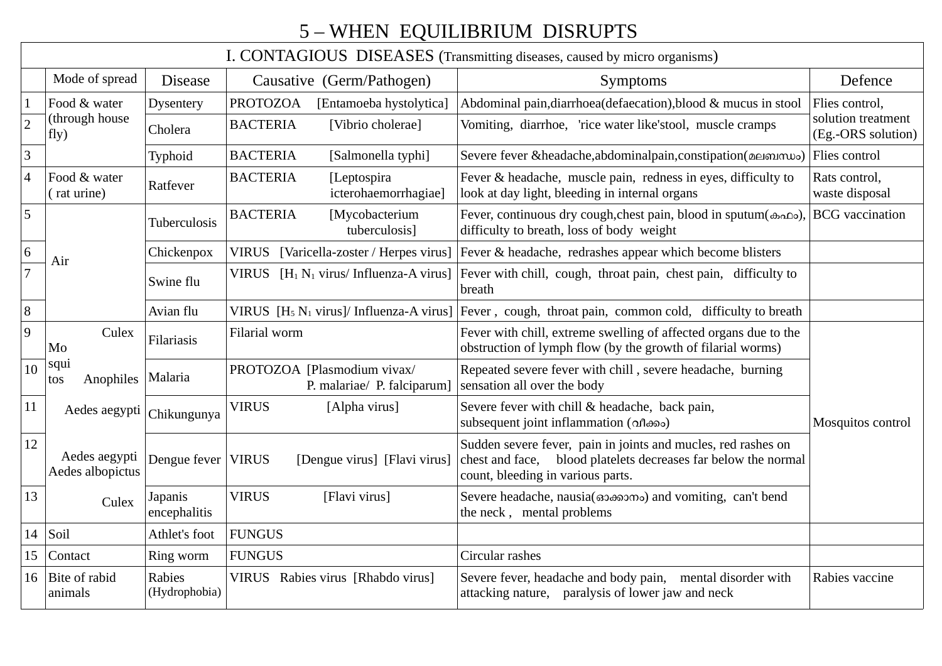# 5 – WHEN EQUILIBRIUM DISRUPTS

|                 | I. CONTAGIOUS DISEASES (Transmitting diseases, caused by micro organisms) |                                |                 |                                                            |                                                                                                                                                                      |                                          |
|-----------------|---------------------------------------------------------------------------|--------------------------------|-----------------|------------------------------------------------------------|----------------------------------------------------------------------------------------------------------------------------------------------------------------------|------------------------------------------|
|                 | Mode of spread                                                            | <b>Disease</b>                 |                 | Causative (Germ/Pathogen)                                  | Symptoms                                                                                                                                                             | Defence                                  |
| 1               | Food & water<br>(through house<br>fly)                                    | <b>Dysentery</b>               | <b>PROTOZOA</b> | [Entamoeba hystolytica]                                    | Abdominal pain, diarrhoea (defaecation), blood & mucus in stool                                                                                                      | Flies control,                           |
| $\overline{2}$  |                                                                           | Cholera                        | <b>BACTERIA</b> | [Vibrio cholerae]                                          | Vomiting, diarrhoe, 'rice water like'stool, muscle cramps                                                                                                            | solution treatment<br>(Eg.-ORS solution) |
| 3               |                                                                           | Typhoid                        | <b>BACTERIA</b> | [Salmonella typhi]                                         | Severe fever & headache, abdominal pain, constipation ( $\triangle$ ei mumo)                                                                                         | Flies control                            |
| $\overline{4}$  | Food & water<br>(rat urine)                                               | Ratfever                       | <b>BACTERIA</b> | [Leptospira]<br>icterohaemorrhagiae]                       | Fever & headache, muscle pain, redness in eyes, difficulty to<br>look at day light, bleeding in internal organs                                                      | Rats control,<br>waste disposal          |
| 5               | Air                                                                       | Tuberculosis                   | <b>BACTERIA</b> | [Mycobacterium<br>tuberculosis]                            | Fever, continuous dry cough, chest pain, blood in sputum( $\omega$<br>difficulty to breath, loss of body weight                                                      | <b>BCG</b> vaccination                   |
| $6\phantom{1}6$ |                                                                           | Chickenpox                     | <b>VIRUS</b>    | [Varicella-zoster / Herpes virus]                          | Fever & headache, redrashes appear which become blisters                                                                                                             |                                          |
| $\overline{7}$  |                                                                           | Swine flu                      |                 | VIRUS $[H_1 N_1 \text{ virus}/ \text{ Influenza-A virus}]$ | Fever with chill, cough, throat pain, chest pain, difficulty to<br>breath                                                                                            |                                          |
| 8               |                                                                           | Avian flu                      |                 |                                                            | VIRUS $[H_5 N_1 \text{ virus}]$ / Influenza-A virus] Fever, cough, throat pain, common cold, difficulty to breath                                                    |                                          |
| 9               | Culex<br>Mo                                                               | Filarial worm<br>Filariasis    |                 |                                                            | Fever with chill, extreme swelling of affected organs due to the<br>obstruction of lymph flow (by the growth of filarial worms)                                      |                                          |
| 10              | squi<br>Anophiles<br>tos                                                  | Malaria                        |                 | PROTOZOA [Plasmodium vivax/<br>P. malariae/ P. falciparum] | Repeated severe fever with chill, severe headache, burning<br>sensation all over the body                                                                            |                                          |
| 11              | Aedes aegypti                                                             | Chikungunya                    | <b>VIRUS</b>    | [Alpha virus]                                              | Severe fever with chill & headache, back pain,<br>subsequent joint inflammation (on the of                                                                           | Mosquitos control                        |
| 12              | Aedes aegypti<br>Aedes albopictus                                         | Dengue fever                   | <b>VIRUS</b>    | [Dengue virus] [Flavi virus]                               | Sudden severe fever, pain in joints and mucles, red rashes on<br>chest and face, blood platelets decreases far below the normal<br>count, bleeding in various parts. |                                          |
| 13              | Culex                                                                     | Japanis<br>encephalitis        | <b>VIRUS</b>    | [Flavi virus]                                              | Severe headache, nausia(6306000) and vomiting, can't bend<br>the neck, mental problems                                                                               |                                          |
| 14              | Soil                                                                      | Athlet's foot                  | <b>FUNGUS</b>   |                                                            |                                                                                                                                                                      |                                          |
| 15              | Contact                                                                   | Ring worm                      | <b>FUNGUS</b>   |                                                            | Circular rashes                                                                                                                                                      |                                          |
| 16              | Bite of rabid<br>animals                                                  | <b>Rabies</b><br>(Hydrophobia) |                 | VIRUS Rabies virus [Rhabdo virus]                          | Severe fever, headache and body pain, mental disorder with<br>attacking nature, paralysis of lower jaw and neck                                                      | Rabies vaccine                           |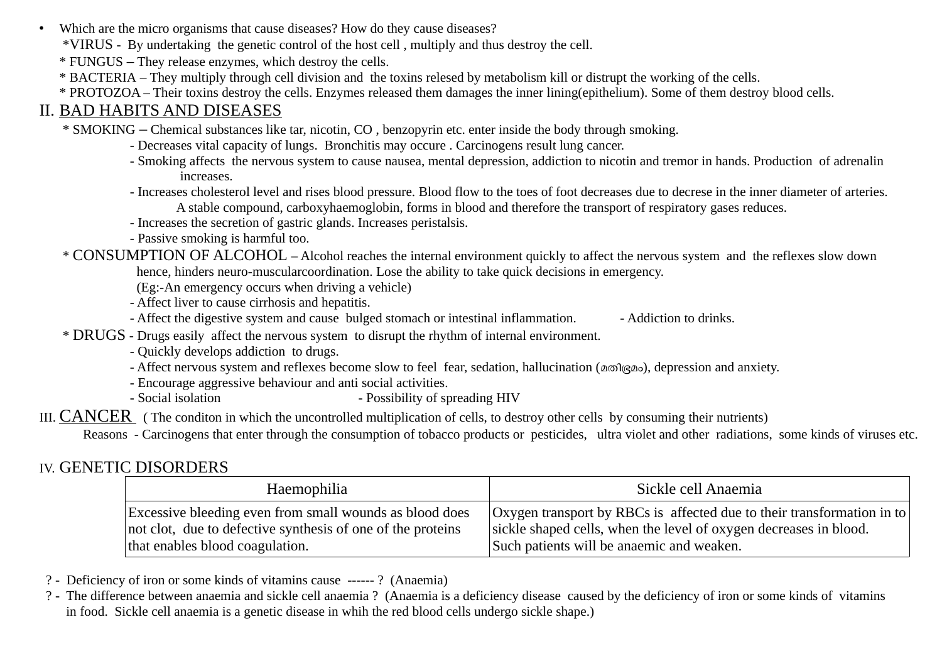- Which are the micro organisms that cause diseases? How do they cause diseases?
	- \*VIRUS By undertaking the genetic control of the host cell , multiply and thus destroy the cell.
	- \* FUNGUS They release enzymes, which destroy the cells.
	- \* BACTERIA They multiply through cell division and the toxins relesed by metabolism kill or distrupt the working of the cells.
	- \* PROTOZOA Their toxins destroy the cells. Enzymes released them damages the inner lining(epithelium). Some of them destroy blood cells.

#### II. BAD HABITS AND DISEASES

- \* SMOKING Chemical substances like tar, nicotin, CO , benzopyrin etc. enter inside the body through smoking.
	- Decreases vital capacity of lungs. Bronchitis may occure . Carcinogens result lung cancer.
	- Smoking affects the nervous system to cause nausea, mental depression, addiction to nicotin and tremor in hands. Production of adrenalin increases.
	- Increases cholesterol level and rises blood pressure. Blood flow to the toes of foot decreases due to decrese in the inner diameter of arteries. A stable compound, carboxyhaemoglobin, forms in blood and therefore the transport of respiratory gases reduces.
	- Increases the secretion of gastric glands. Increases peristalsis.
	- Passive smoking is harmful too.
- \* CONSUMPTION OF ALCOHOL Alcohol reaches the internal environment quickly to affect the nervous system and the reflexes slow down hence, hinders neuro-muscularcoordination. Lose the ability to take quick decisions in emergency.
	- (Eg:-An emergency occurs when driving a vehicle)
	- Affect liver to cause cirrhosis and hepatitis.
	- Affect the digestive system and cause bulged stomach or intestinal inflammation. - Addiction to drinks.
- \* DRUGS Drugs easily affect the nervous system to disrupt the rhythm of internal environment.
	- Quickly develops addiction to drugs.
	- Affect nervous system and reflexes become slow to feel fear, sedation, hallucination (മതിഭമം), depression and anxiety.
	- Encourage aggressive behaviour and anti social activities.
	- Social isolation Possibility of spreading HIV
- III. CANCER (The conditon in which the uncontrolled multiplication of cells, to destroy other cells by consuming their nutrients)

Reasons - Carcinogens that enter through the consumption of tobacco products or pesticides, ultra violet and other radiations, some kinds of viruses etc.

#### IV. GENETIC DISORDERS

| Haemophilia                                                 | Sickle cell Anaemia                                                                    |  |
|-------------------------------------------------------------|----------------------------------------------------------------------------------------|--|
| Excessive bleeding even from small wounds as blood does     | $\vert$ Oxygen transport by RBCs is affected due to their transformation in to $\vert$ |  |
| not clot, due to defective synthesis of one of the proteins | sickle shaped cells, when the level of oxygen decreases in blood.                      |  |
| that enables blood coagulation.                             | Such patients will be anaemic and weaken.                                              |  |

? - Deficiency of iron or some kinds of vitamins cause ------ ? (Anaemia)

 ? - The difference between anaemia and sickle cell anaemia ? (Anaemia is a deficiency disease caused by the deficiency of iron or some kinds of vitamins in food. Sickle cell anaemia is a genetic disease in whih the red blood cells undergo sickle shape.)